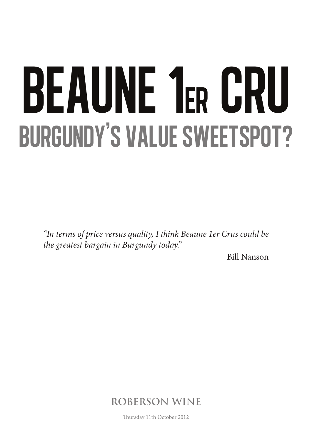# BEAUNE 1ER CRU BURGUNDY'S VALUE SWEETSPOT?

*"In terms of price versus quality, I think Beaune 1er Crus could be the greatest bargain in Burgundy today."*

Bill Nanson

**ROBERSON WINE**

Thursday 11th October 2012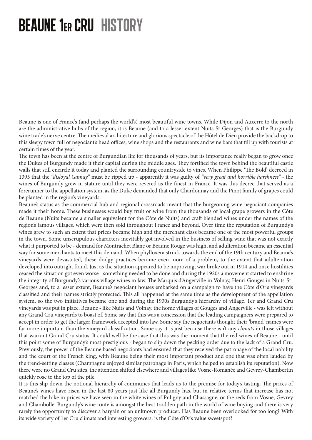### beaune 1er cru history

Beaune is one of France's (and perhaps the world's) most beautiful wine towns. While Dijon and Auxerre to the north are the administrative hubs of the region, it is Beaune (and to a lesser extent Nuits-St-Georges) that is the Burgundy wine trade's nerve centre. The medieval architecture and glorious spectacle of the Hôtel de Dieu provide the backdrop to this sleepy town full of negociant's head offices, wine shops and the restaurants and wine bars that fill up with tourists at certain times of the year.

The town has been at the centre of Burgundian life for thousands of years, but its importance really began to grow once the Dukes of Burgundy made it their capital during the middle ages. They fortified the town behind the beautiful castle walls that still encircle it today and planted the surrounding countryside to vines. When Philippe 'The Bold' decreed in 1395 that the *"disloyal Gamay"* must be ripped up - apparently it was guilty of *"very great and horrible harshness"* - the wines of Burgundy grew in stature until they were revered as the finest in France. It was this decree that served as a forerunner to the appellation system, as the Duke demanded that only Chardonnay and the Pinot family of grapes could be planted in the region's vineyards.

Beaune's status as the commercial hub and regional crossroads meant that the burgeoning wine negociant companies made it their home. These businesses would buy fruit or wine from the thousands of local grape growers in the Côte de Beaune (Nuits became a smaller equivalent for the Côte de Nuits) and craft blended wines under the names of the region's famous villages, which were then sold throughout France and beyond. Over time the reputation of Burgundy's wines grew to such an extent that prices became high and the merchant class became one of the most powerful groups in the town. Some unscrupulous characters inevitably got involved in the business of selling wine that was not exactly what it purported to be - demand for Montrachet Blanc or Beaune Rouge was high, and adulteration became an essential way for some merchants to meet this demand. When phylloxera struck towards the end of the 19th century and Beaune's vineyards were devastated, these dodgy practices became even more of a problem, to the extent that adulteration developed into outright fraud. Just as the situation appeared to be improving, war broke out in 1914 and once hostilities ceased the situation got even worse - something needed to be done and during the 1920s a movement started to enshrine the integrity of Burgundy's various village wines in law. The Marquis d'Angerville in Volnay, Henri Gouges in Nuits-St-Georges and, to a lesser extent, Beaune's negociant houses embarked on a campaign to have the Côte d'Or's vineyards classified and their names strictly protected. This all happened at the same time as the development of the appellation system, so the two initiatives became one and during the 1930s Burgundy's hierarchy of village, 1er and Grand Cru vineyards was put in place. Beaune - like Nuits and Volnay, the home villages of Gouges and Angerville - was left without any Grand Cru vineyards to boast of. Some say that this was a concession that the leading campaigners were prepared to accept in order to get the larger framework accepted into law. Some say the negociants thought their 'brand' names were far more important than the vineyard classification. Some say it is just because there isn't any *climats* in those villages that warrant Grand Cru status. It could well be the case that this was the moment that the red wines of Beaune - until this point some of Burgundy's most prestigious - began to slip down the pecking order due to the lack of a Grand Cru. Previously, the power of the Beaune based negociants had ensured that they received the patronage of the local nobility and the court of the French king, with Beaune being their most important product and one that was often lauded by the trend-setting classes (Champagne enjoyed similar patronage in Paris, which helped to establish its reputation). Now there were no Grand Cru sites, the attention shifted elsewhere and villages like Vosne-Romanée and Gevrey-Chambertin quickly rose to the top of the pile.

It is this slip down the notional hierarchy of communes that leads us to the premise for today's tasting. The prices of Beaune's wines have risen in the last 80 years just like all Burgundy has, but in relative terms that increase has not matched the hike in prices we have seen in the white wines of Puligny and Chassagne, or the reds from Vosne, Gevrey and Chambolle. Burgundy's wine route is amongst the best trodden path in the world of wine buying and there is very rarely the opportunity to discover a bargain or an unknown producer. Has Beaune been overlooked for too long? With its wide variety of 1er Cru climats and interesting growers, is the Côte d'Or's value sweetspot?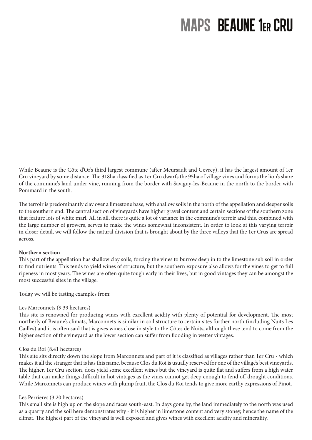## MAPS beaune 1er cru

While Beaune is the Côte d'Or's third largest commune (after Meursault and Gevrey), it has the largest amount of 1er Cru vineyard by some distance. The 318ha classified as 1er Cru dwarfs the 95ha of village vines and forms the lion's share of the commune's land under vine, running from the border with Savigny-les-Beaune in the north to the border with Pommard in the south.

The terroir is predominantly clay over a limestone base, with shallow soils in the north of the appellation and deeper soils to the southern end. The central section of vineyards have higher gravel content and certain sections of the southern zone that feature lots of white marl. All in all, there is quite a lot of variance in the commune's terroir and this, combined with the large number of growers, serves to make the wines somewhat inconsistent. In order to look at this varying terroir in closer detail, we will follow the natural division that is brought about by the three valleys that the 1er Crus are spread across.

#### **Northern section**

This part of the appellation has shallow clay soils, forcing the vines to burrow deep in to the limestone sub soil in order to find nutrients. This tends to yield wines of structure, but the southern exposure also allows for the vines to get to full ripeness in most years. The wines are often quite tough early in their lives, but in good vintages they can be amongst the most successful sites in the village.

Today we will be tasting examples from:

#### Les Marconnets (9.39 hectares)

This site is renowned for producing wines with excellent acidity with plenty of potential for development. The most northerly of Beaune's climats, Marconnets is similar in soil structure to certain sites further north (including Nuits Les Cailles) and it is often said that is gives wines close in style to the Côtes de Nuits, although these tend to come from the higher section of the vineyard as the lower section can suffer from flooding in wetter vintages.

#### Clos du Roi (8.41 hectares)

This site sits directly down the slope from Marconnets and part of it is classified as villages rather than 1er Cru - which makes it all the stranger that is has this name, because Clos du Roi is usually reserved for one of the village's best vineyards. The higher, 1er Cru section, does yield some excellent wines but the vineyard is quite flat and suffers from a high water table that can make things difficult in hot vintages as the vines cannot get deep enough to fend off drought conditions. While Marconnets can produce wines with plump fruit, the Clos du Roi tends to give more earthy expressions of Pinot.

#### Les Perrieres (3.20 hectares)

This small site is high up on the slope and faces south-east. In days gone by, the land immediately to the north was used as a quarry and the soil here demonstrates why - it is higher in limestone content and very stoney, hence the name of the climat. The highest part of the vineyard is well exposed and gives wines with excellent acidity and minerality.